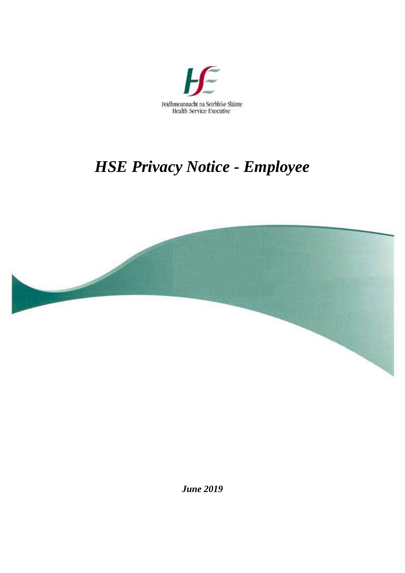

# *HSE Privacy Notice - Employee*



*June 2019*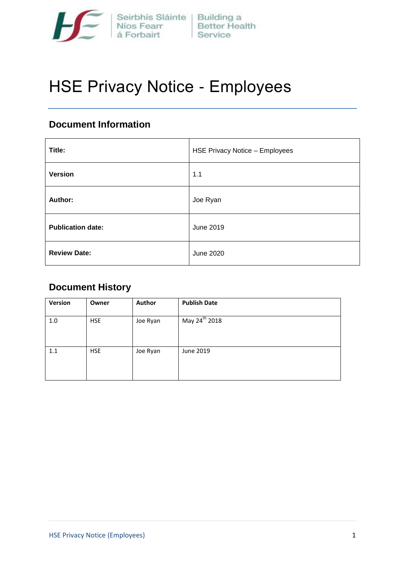

# HSE Privacy Notice - Employees

# **Document Information**

| Title:                   | <b>HSE Privacy Notice - Employees</b> |
|--------------------------|---------------------------------------|
| <b>Version</b>           | 1.1                                   |
| Author:                  | Joe Ryan                              |
| <b>Publication date:</b> | June 2019                             |
| <b>Review Date:</b>      | <b>June 2020</b>                      |

# **Document History**

| Version | Owner      | <b>Author</b> | <b>Publish Date</b>       |
|---------|------------|---------------|---------------------------|
| 1.0     | <b>HSE</b> | Joe Ryan      | May 24 <sup>th</sup> 2018 |
| 1.1     | <b>HSE</b> | Joe Ryan      | June 2019                 |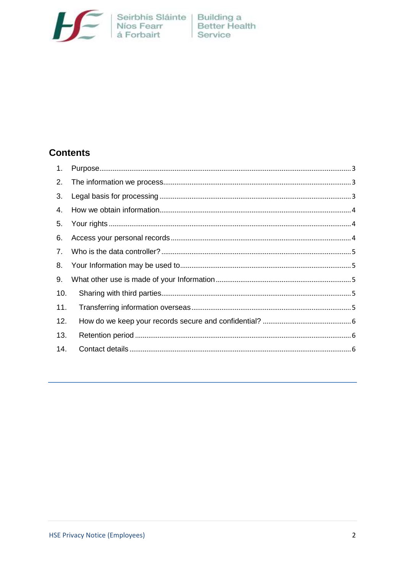

# **Contents**

| 1.  |  |
|-----|--|
| 2.  |  |
| 3.  |  |
| 4.  |  |
| 5.  |  |
| 6.  |  |
| 7.  |  |
|     |  |
| 9.  |  |
| 10. |  |
| 11. |  |
| 12. |  |
| 13. |  |
| 14. |  |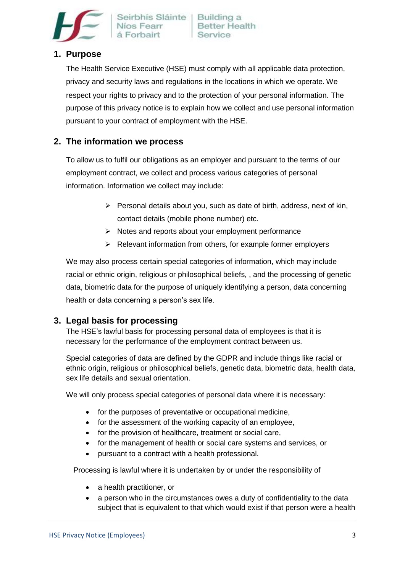

# <span id="page-3-0"></span>**1. Purpose**

The Health Service Executive (HSE) must comply with all applicable data protection, privacy and security laws and regulations in the locations in which we operate. We respect your rights to privacy and to the protection of your personal information. The purpose of this privacy notice is to explain how we collect and use personal information pursuant to your contract of employment with the HSE.

## <span id="page-3-1"></span>**2. The information we process**

To allow us to fulfil our obligations as an employer and pursuant to the terms of our employment contract, we collect and process various categories of personal information. Information we collect may include:

- $\triangleright$  Personal details about you, such as date of birth, address, next of kin, contact details (mobile phone number) etc.
- $\triangleright$  Notes and reports about your employment performance
- $\triangleright$  Relevant information from others, for example former employers

We may also process certain special categories of information, which may include racial or ethnic origin, religious or philosophical beliefs, , and the processing of genetic data, biometric data for the purpose of uniquely identifying a person, data concerning health or data concerning a person's sex life.

#### <span id="page-3-2"></span>**3. Legal basis for processing**

The HSE's lawful basis for processing personal data of employees is that it is necessary for the performance of the employment contract between us.

Special categories of data are defined by the GDPR and include things like racial or ethnic origin, religious or philosophical beliefs, genetic data, biometric data, health data, sex life details and sexual orientation.

We will only process special categories of personal data where it is necessary:

- for the purposes of preventative or occupational medicine,
- for the assessment of the working capacity of an employee,
- for the provision of healthcare, treatment or social care,
- for the management of health or social care systems and services, or
- pursuant to a contract with a health professional.

Processing is lawful where it is undertaken by or under the responsibility of

- a health practitioner, or
- a person who in the circumstances owes a duty of confidentiality to the data subject that is equivalent to that which would exist if that person were a health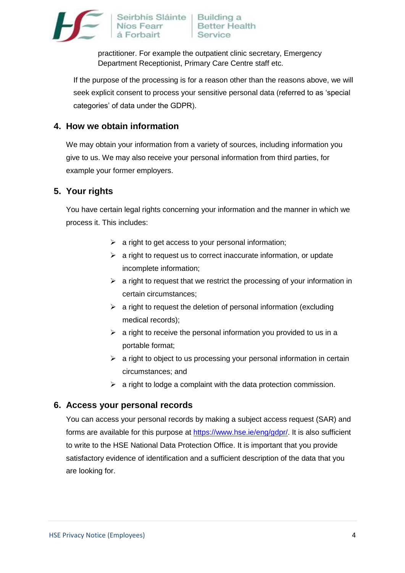

Seirbhís Sláinte | Building a Níos Fean

practitioner. For example the outpatient clinic secretary, Emergency Department Receptionist, Primary Care Centre staff etc.

If the purpose of the processing is for a reason other than the reasons above, we will seek explicit consent to process your sensitive personal data (referred to as 'special categories' of data under the GDPR).

## <span id="page-4-0"></span>**4. How we obtain information**

We may obtain your information from a variety of sources, including information you give to us. We may also receive your personal information from third parties, for example your former employers.

## <span id="page-4-1"></span>**5. Your rights**

You have certain legal rights concerning your information and the manner in which we process it. This includes:

- $\triangleright$  a right to get access to your personal information;
- $\triangleright$  a right to request us to correct inaccurate information, or update incomplete information;
- $\triangleright$  a right to request that we restrict the processing of your information in certain circumstances;
- $\triangleright$  a right to request the deletion of personal information (excluding medical records);
- $\geq$  a right to receive the personal information you provided to us in a portable format;
- $\triangleright$  a right to object to us processing your personal information in certain circumstances; and
- $\triangleright$  a right to lodge a complaint with the data protection commission.

#### <span id="page-4-2"></span>**6. Access your personal records**

You can access your personal records by making a subject access request (SAR) and forms are available for this purpose at [https://www.hse.ie/eng/gdpr/.](https://www.hse.ie/eng/gdpr/SARSForm) It is also sufficient to write to the HSE National Data Protection Office. It is important that you provide satisfactory evidence of identification and a sufficient description of the data that you are looking for.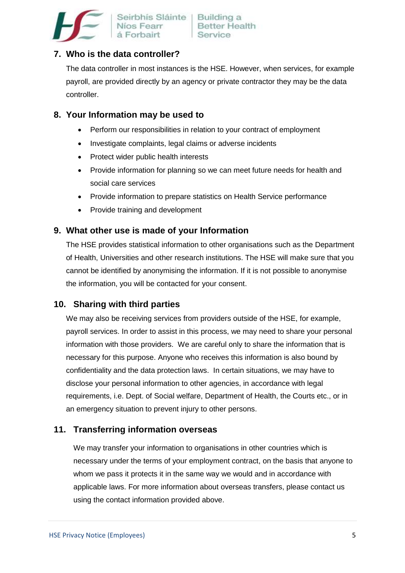

# <span id="page-5-0"></span>**7. Who is the data controller?**

The data controller in most instances is the HSE. However, when services, for example payroll, are provided directly by an agency or private contractor they may be the data controller.

## <span id="page-5-1"></span>**8. Your Information may be used to**

- Perform our responsibilities in relation to your contract of employment
- Investigate complaints, legal claims or adverse incidents
- Protect wider public health interests
- Provide information for planning so we can meet future needs for health and social care services
- Provide information to prepare statistics on Health Service performance
- Provide training and development

## <span id="page-5-2"></span>**9. What other use is made of your Information**

The HSE provides statistical information to other organisations such as the Department of Health, Universities and other research institutions. The HSE will make sure that you cannot be identified by anonymising the information. If it is not possible to anonymise the information, you will be contacted for your consent.

# <span id="page-5-3"></span>**10. Sharing with third parties**

We may also be receiving services from providers outside of the HSE, for example, payroll services. In order to assist in this process, we may need to share your personal information with those providers. We are careful only to share the information that is necessary for this purpose. Anyone who receives this information is also bound by confidentiality and the data protection laws. In certain situations, we may have to disclose your personal information to other agencies, in accordance with legal requirements, i.e. Dept. of Social welfare, Department of Health, the Courts etc., or in an emergency situation to prevent injury to other persons.

# <span id="page-5-4"></span>**11. Transferring information overseas**

We may transfer your information to organisations in other countries which is necessary under the terms of your employment contract, on the basis that anyone to whom we pass it protects it in the same way we would and in accordance with applicable laws. For more information about overseas transfers, please contact us using the contact information provided above.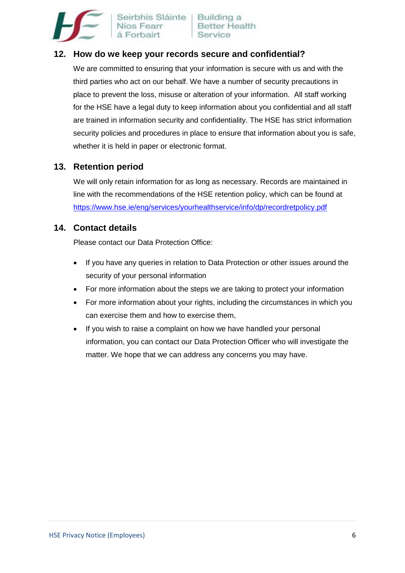

Seirbhís Sláinte Níos Fear á Forbairt

# <span id="page-6-0"></span>**12. How do we keep your records secure and confidential?**

We are committed to ensuring that your information is secure with us and with the third parties who act on our behalf. We have a number of security precautions in place to prevent the loss, misuse or alteration of your information. All staff working for the HSE have a legal duty to keep information about you confidential and all staff are trained in information security and confidentiality. The HSE has strict information security policies and procedures in place to ensure that information about you is safe, whether it is held in paper or electronic format.

## <span id="page-6-1"></span>**13. Retention period**

We will only retain information for as long as necessary. Records are maintained in line with the recommendations of the HSE retention policy, which can be found at <https://www.hse.ie/eng/services/yourhealthservice/info/dp/recordretpolicy.pdf>

#### <span id="page-6-2"></span>**14. Contact details**

Please contact our Data Protection Office:

- If you have any queries in relation to Data Protection or other issues around the security of your personal information
- For more information about the steps we are taking to protect your information
- For more information about your rights, including the circumstances in which you can exercise them and how to exercise them,
- If you wish to raise a complaint on how we have handled your personal information, you can contact our Data Protection Officer who will investigate the matter. We hope that we can address any concerns you may have.